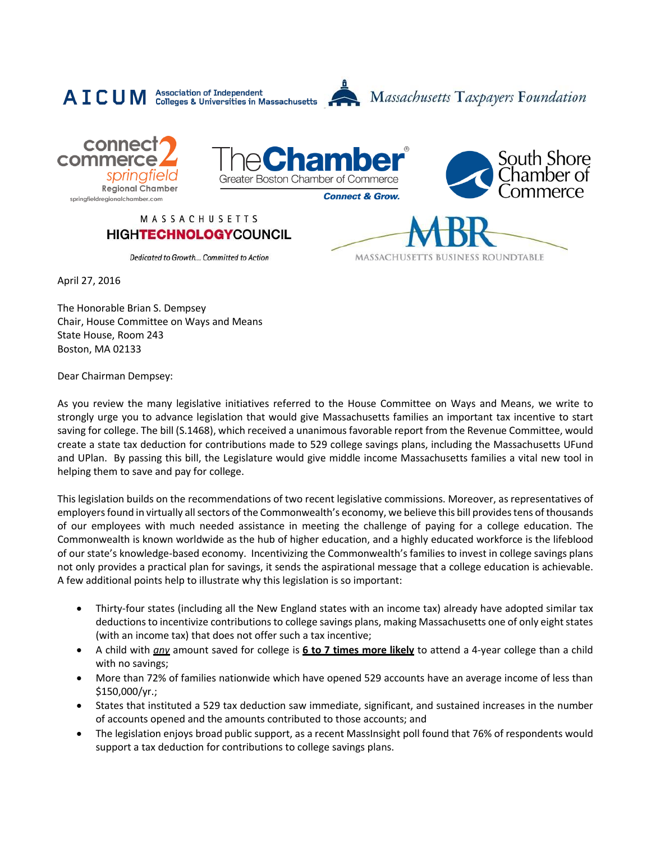







## MASSACHUSETTS **HIGHTECHNOLOGYCOUNCIL**



Dedicated to Growth... Committed to Action

April 27, 2016

The Honorable Brian S. Dempsey Chair, House Committee on Ways and Means State House, Room 243 Boston, MA 02133

Dear Chairman Dempsey:

As you review the many legislative initiatives referred to the House Committee on Ways and Means, we write to strongly urge you to advance legislation that would give Massachusetts families an important tax incentive to start saving for college. The bill (S.1468), which received a unanimous favorable report from the Revenue Committee, would create a state tax deduction for contributions made to 529 college savings plans, including the Massachusetts UFund and UPlan. By passing this bill, the Legislature would give middle income Massachusetts families a vital new tool in helping them to save and pay for college.

This legislation builds on the recommendations of two recent legislative commissions. Moreover, as representatives of employers found in virtually all sectors of the Commonwealth's economy, we believe this bill providestens of thousands of our employees with much needed assistance in meeting the challenge of paying for a college education. The Commonwealth is known worldwide as the hub of higher education, and a highly educated workforce is the lifeblood of our state's knowledge-based economy. Incentivizing the Commonwealth's families to invest in college savings plans not only provides a practical plan for savings, it sends the aspirational message that a college education is achievable. A few additional points help to illustrate why this legislation is so important:

- Thirty-four states (including all the New England states with an income tax) already have adopted similar tax deductions to incentivize contributions to college savings plans, making Massachusetts one of only eight states (with an income tax) that does not offer such a tax incentive;
- A child with *any* amount saved for college is **6 to 7 times more likely** to attend a 4-year college than a child with no savings;
- More than 72% of families nationwide which have opened 529 accounts have an average income of less than \$150,000/yr.;
- States that instituted a 529 tax deduction saw immediate, significant, and sustained increases in the number of accounts opened and the amounts contributed to those accounts; and
- The legislation enjoys broad public support, as a recent MassInsight poll found that 76% of respondents would support a tax deduction for contributions to college savings plans.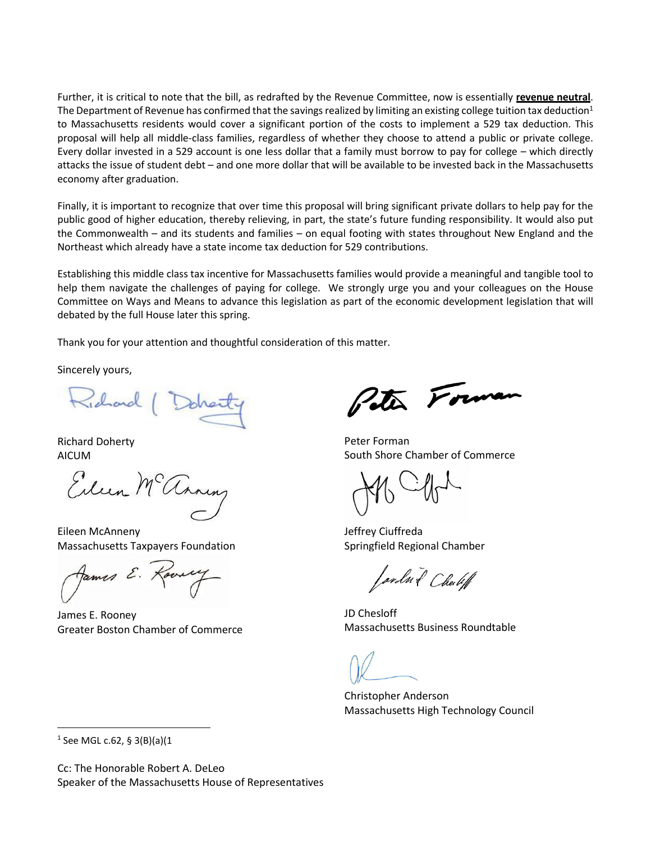Further, it is critical to note that the bill, as redrafted by the Revenue Committee, now is essentially **revenue neutral**. The Department of Revenue has confirmed that the savings realized by limiting an existing college tuition tax deduction<sup>1</sup> to Massachusetts residents would cover a significant portion of the costs to implement a 529 tax deduction. This proposal will help all middle-class families, regardless of whether they choose to attend a public or private college. Every dollar invested in a 529 account is one less dollar that a family must borrow to pay for college – which directly attacks the issue of student debt – and one more dollar that will be available to be invested back in the Massachusetts economy after graduation.

Finally, it is important to recognize that over time this proposal will bring significant private dollars to help pay for the public good of higher education, thereby relieving, in part, the state's future funding responsibility. It would also put the Commonwealth – and its students and families – on equal footing with states throughout New England and the Northeast which already have a state income tax deduction for 529 contributions.

Establishing this middle class tax incentive for Massachusetts families would provide a meaningful and tangible tool to help them navigate the challenges of paying for college. We strongly urge you and your colleagues on the House Committee on Ways and Means to advance this legislation as part of the economic development legislation that will debated by the full House later this spring.

Thank you for your attention and thoughtful consideration of this matter.

Sincerely yours,

Richard

Richard Doherty AICUM

Eileen Mc annung

Eileen McAnneny Massachusetts Taxpayers Foundation

James E. ?

James E. Rooney Greater Boston Chamber of Commerce

Peter Forma

Peter Forman South Shore Chamber of Commerce

Jeffrey Ciuffreda Springfield Regional Chamber

Jardn & Chable

JD Chesloff Massachusetts Business Roundtable

Christopher Anderson Massachusetts High Technology Council

1 See MGL c.62, § 3(B)(a)(1

 $\overline{\phantom{a}}$ 

Cc: The Honorable Robert A. DeLeo Speaker of the Massachusetts House of Representatives